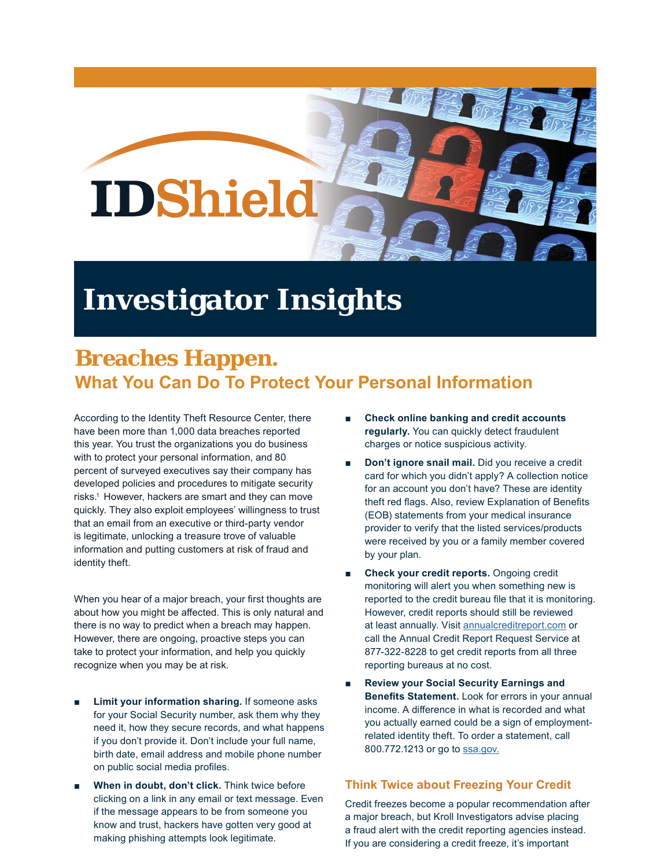

## **Investigator Insights**

## **Breaches Happen. What You Can Do To Protect Your Personal Information**

According to the Identity Theft Resource Center, there have been more than 1,000 data breaches reported this year. You trust the organizations you do business with to protect your personal information, and 80 percent of surveyed executives say their company has developed policies and procedures to mitigate security risks.<sup>1</sup> However, hackers are smart and they can move quickly. They also exploit employees' willingness to trust that an email from an executive or third-party vendor is legitimate, unlocking a treasure trove of valuable information and putting customers at risk of fraud and identity theft.

When you hear of a major breach, your first thoughts are about how you might be affected. This is only natural and there is no way to predict when a breach may happen. However, there are ongoing, proactive steps you can take to protect your information, and help you quickly recognize when you may be at risk.

- Limit your information sharing. If someone asks for your Social Security number, ask them why they need it, how they secure records, and what happens if you don't provide it. Don't include your full name, birth date, email address and mobile phone number on public social media profiles.
- **When in doubt, don't click.** Think twice before clicking on a link in any email or text message. Even if the message appears to be from someone you know and trust, hackers have gotten very good at making phishing attempts look legitimate.
- **Check online banking and credit accounts regularly.** You can quickly detect fraudulent charges or notice suspicious activity.
- **Don't ignore snail mail.** Did you receive a credit card for which you didn't apply? A collection notice for an account you don't have? These are identity theft red flags. Also, review Explanation of Benefits (EOB) statements from your medical insurance provider to verify that the listed services/products were received by you or a family member covered by your plan.
- **Check your credit reports.** Ongoing credit monitoring will alert you when something new is reported to the credit bureau file that it is monitoring. However, credit reports should still be reviewed at least annually. Visit annualcreditreport.com or call the Annual Credit Report Request Service at 877-322-8228 to get credit reports from all three reporting bureaus at no cost.
- **Review your Social Security Earnings and Benefits Statement.** Look for errors in your annual income. A difference in what is recorded and what you actually earned could be a sign of employmentrelated identity theft. To order a statement, call 800.772.1213 or go to ssa.gov.

## **Think Twice about Freezing Your Credit**

Credit freezes become a popular recommendation after a major breach, but Kroll Investigators advise placing a fraud alert with the credit reporting agencies instead. If you are considering a credit freeze, it's important